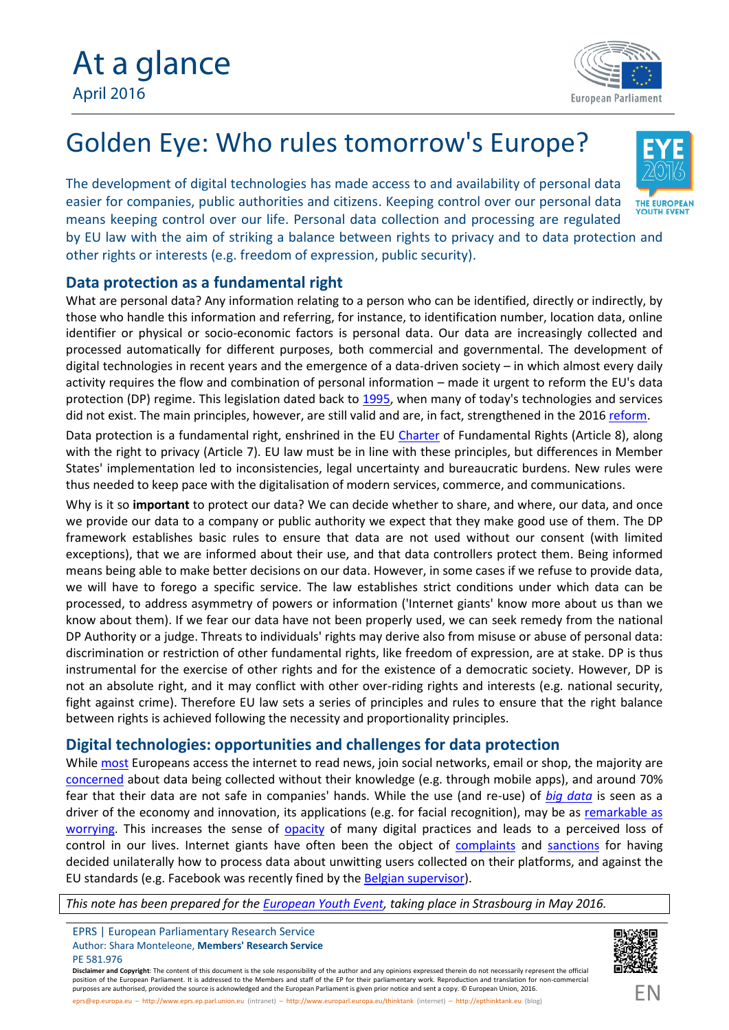

## Golden Eye: Who rules tomorrow's Europe?

The development of digital technologies has made access to and availability of personal data easier for companies, public authorities and citizens. Keeping control over our personal data THE EUROPEAN means keeping control over our life. Personal data collection and processing are regulated by EU law with the aim of striking a balance between rights to privacy and to data protection and

other rights or interests (e.g. freedom of expression, public security).

## **Data protection as a fundamental right**

What are personal data? Any information relating to a person who can be identified, directly or indirectly, by those who handle this information and referring, for instance, to identification number, location data, online identifier or physical or socio-economic factors is personal data. Our data are increasingly collected and processed automatically for different purposes, both commercial and governmental. The development of digital technologies in recent years and the emergence of a data-driven society – in which almost every daily activity requires the flow and combination of personal information – made it urgent to reform the EU's data protection (DP) regime. This legislation dated back to [1995,](http://eur-lex.europa.eu/legal-content/EN/TXT/PDF/?uri=CELEX:31995L0046&qid=1461160983721&from=EN) when many of today's technologies and services did not exist. The main principles, however, are still valid and are, in fact, strengthened in the 2016 re[form.](http://www.europarl.europa.eu/news/en/news-room/20160407IPR21776/Data-protection-reform-Parliament-approves-new-rules-fit-for-the-digital-era)

Data protection is a fundamental right, enshrined in the EU [Charter](http://ec.europa.eu/justice/fundamental-rights/charter/index_en.htm) of Fundamental Rights (Article 8), along with the right to privacy (Article 7). EU law must be in line with these principles, but differences in Member States' implementation led to inconsistencies, legal uncertainty and bureaucratic burdens. New rules were thus needed to keep pace with the digitalisation of modern services, commerce, and communications.

Why is it so **important** to protect our data? We can decide whether to share, and where, our data, and once we provide our data to a company or public authority we expect that they make good use of them. The DP framework establishes basic rules to ensure that data are not used without our consent (with limited exceptions), that we are informed about their use, and that data controllers protect them. Being informed means being able to make better decisions on our data. However, in some cases if we refuse to provide data, we will have to forego a specific service. The law establishes strict conditions under which data can be processed, to address asymmetry of powers or information ('Internet giants' know more about us than we know about them). If we fear our data have not been properly used, we can seek remedy from the national DP Authority or a judge. Threats to individuals' rights may derive also from misuse or abuse of personal data: discrimination or restriction of other fundamental rights, like freedom of expression, are at stake. DP isthus instrumental for the exercise of other rights and for the existence of a democratic society. However, DP is not an absolute right, and it may conflict with other over-riding rights and interests (e.g. national security, fight against crime). Therefore EU law sets a series of principles and rules to ensure that the right balance between rights is achieved following the necessity and proportionality principles.

## **Digital technologies: opportunities and challenges for data protection**

While [most](http://ec.europa.eu/COMMFrontOffice/PublicOpinion/index.cfm/Survey/getSurveyDetail/instruments/SPECIAL/surveyKy/864/p/2) Europeans access the internet to read news, join social networks, email or shop, the majority are [concerned](http://ec.europa.eu/COMMFrontOffice/PublicOpinion/index.cfm/Survey/getSurveyDetail/instruments/SPECIAL/surveyKy/2075) about data being collected without their knowledge (e.g. through mobile apps), and around 70% fear that their data are not safe in companies' hands. While the use (and re-use) of *[big data](http://www.europarl.europa.eu/RegData/etudes/STUD/2015/536455/IPOL_STU(2015)536455_EN.pdf)* isseen as a driver of the economy and innovation, its applications (e.g. for facial recognition), may be as [remarkable](http://www.bbc.com/news/magazine-36019275) as [worrying.](http://www.bbc.com/news/magazine-36019275) This increases the sense of [opacity](http://www.europarl.europa.eu/RegData/etudes/STUD/2015/536455/IPOL_STU(2015)536455_EN.pdf) of many digital practices and leads to a perceived loss of control in our lives. Internet giants have often been the object of [complaints](http://ejlt.org/article/view/168/257) and [sanctions](http://www.zdnet.com/article/google-faces-eu-state-fines-over-privacy-policy-merger/) for having decided unilaterally how to process data about unwitting users collected on their platforms, and against the EU standards (e.g. Facebook was recently fined by the B[elgian supervisor\).](https://www.privacycommission.be/en/news/judgment-facebook-case)

*This note has been prepared for the E[uropean Youth Event, ta](http://www.europarl.europa.eu/european-youth-event/en/home/home.html)king place in Strasbourg in May 2016.*

EPRS | European Parliamentary Research Service Author: Shara Monteleone, **Members' Research Service** PE 581.976

**Disclaimer and Copyright**: The content of this document is the sole responsibility of the author and any opinions expressed therein do not necessarily represent the official position of the European Parliament. It is addressed to the Members and staff of the EP for their parliamentary work. Reproduction and translation for non-commercial purposes are authorised, provided the source is acknowledged and the European Parliament is given prior notice and sent a copy. © European Union, 2016.